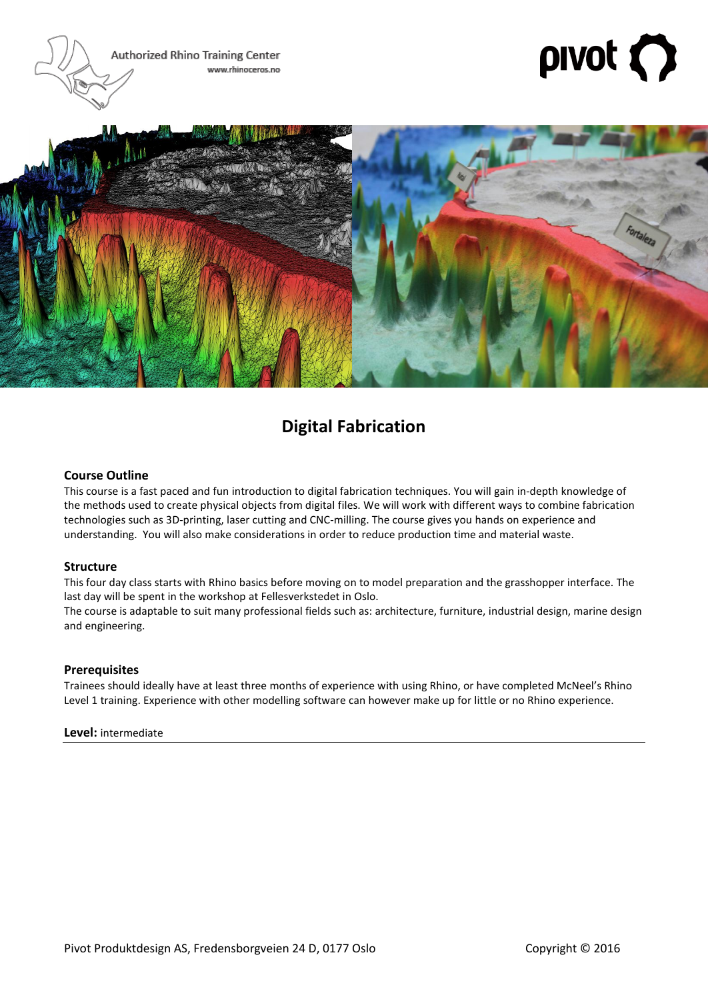Authorized Rhino Training Center www.rhinoceros.no

# $\mathsf{pivot}\left( \bigcap\limits_{i=1}^{n} \mathbb{Z}_i \right)$



# **Digital Fabrication**

### **Course Outline**

This course is a fast paced and fun introduction to digital fabrication techniques. You will gain in-depth knowledge of the methods used to create physical objects from digital files. We will work with different ways to combine fabrication technologies such as 3D-printing, laser cutting and CNC-milling. The course gives you hands on experience and understanding. You will also make considerations in order to reduce production time and material waste.

#### **Structure**

This four day class starts with Rhino basics before moving on to model preparation and the grasshopper interface. The last day will be spent in the workshop at Fellesverkstedet in Oslo.

The course is adaptable to suit many professional fields such as: architecture, furniture, industrial design, marine design and engineering.

#### **Prerequisites**

Trainees should ideally have at least three months of experience with using Rhino, or have completed McNeel's Rhino Level 1 training. Experience with other modelling software can however make up for little or no Rhino experience.

#### **Level:** intermediate